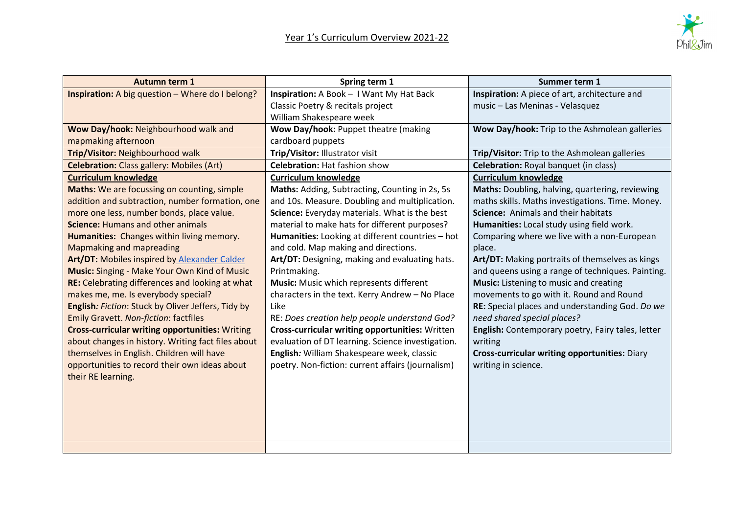

| <b>Autumn term 1</b>                                    | Spring term 1                                     | Summer term 1                                        |
|---------------------------------------------------------|---------------------------------------------------|------------------------------------------------------|
| <b>Inspiration:</b> A big question - Where do I belong? | Inspiration: A Book - I Want My Hat Back          | Inspiration: A piece of art, architecture and        |
|                                                         | Classic Poetry & recitals project                 | music - Las Meninas - Velasquez                      |
|                                                         | William Shakespeare week                          |                                                      |
| Wow Day/hook: Neighbourhood walk and                    | Wow Day/hook: Puppet theatre (making              | Wow Day/hook: Trip to the Ashmolean galleries        |
| mapmaking afternoon                                     | cardboard puppets                                 |                                                      |
| Trip/Visitor: Neighbourhood walk                        | Trip/Visitor: Illustrator visit                   | Trip/Visitor: Trip to the Ashmolean galleries        |
| <b>Celebration:</b> Class gallery: Mobiles (Art)        | <b>Celebration: Hat fashion show</b>              | Celebration: Royal banquet (in class)                |
| <b>Curriculum knowledge</b>                             | <b>Curriculum knowledge</b>                       | <b>Curriculum knowledge</b>                          |
| Maths: We are focussing on counting, simple             | Maths: Adding, Subtracting, Counting in 2s, 5s    | Maths: Doubling, halving, quartering, reviewing      |
| addition and subtraction, number formation, one         | and 10s. Measure. Doubling and multiplication.    | maths skills. Maths investigations. Time. Money.     |
| more one less, number bonds, place value.               | Science: Everyday materials. What is the best     | Science: Animals and their habitats                  |
| <b>Science: Humans and other animals</b>                | material to make hats for different purposes?     | Humanities: Local study using field work.            |
| Humanities: Changes within living memory.               | Humanities: Looking at different countries - hot  | Comparing where we live with a non-European          |
| <b>Mapmaking and mapreading</b>                         | and cold. Map making and directions.              | place.                                               |
| <b>Art/DT: Mobiles inspired by Alexander Calder</b>     | Art/DT: Designing, making and evaluating hats.    | Art/DT: Making portraits of themselves as kings      |
| <b>Music: Singing - Make Your Own Kind of Music</b>     | Printmaking.                                      | and queens using a range of techniques. Painting.    |
| RE: Celebrating differences and looking at what         | Music: Music which represents different           | Music: Listening to music and creating               |
| makes me, me. Is everybody special?                     | characters in the text. Kerry Andrew - No Place   | movements to go with it. Round and Round             |
| English: Fiction: Stuck by Oliver Jeffers, Tidy by      | Like                                              | RE: Special places and understanding God. Do we      |
| <b>Emily Gravett. Non-fiction: factfiles</b>            | RE: Does creation help people understand God?     | need shared special places?                          |
| <b>Cross-curricular writing opportunities: Writing</b>  | Cross-curricular writing opportunities: Written   | English: Contemporary poetry, Fairy tales, letter    |
| about changes in history. Writing fact files about      | evaluation of DT learning. Science investigation. | writing                                              |
| themselves in English. Children will have               | English: William Shakespeare week, classic        | <b>Cross-curricular writing opportunities: Diary</b> |
| opportunities to record their own ideas about           | poetry. Non-fiction: current affairs (journalism) | writing in science.                                  |
| their RE learning.                                      |                                                   |                                                      |
|                                                         |                                                   |                                                      |
|                                                         |                                                   |                                                      |
|                                                         |                                                   |                                                      |
|                                                         |                                                   |                                                      |
|                                                         |                                                   |                                                      |
|                                                         |                                                   |                                                      |